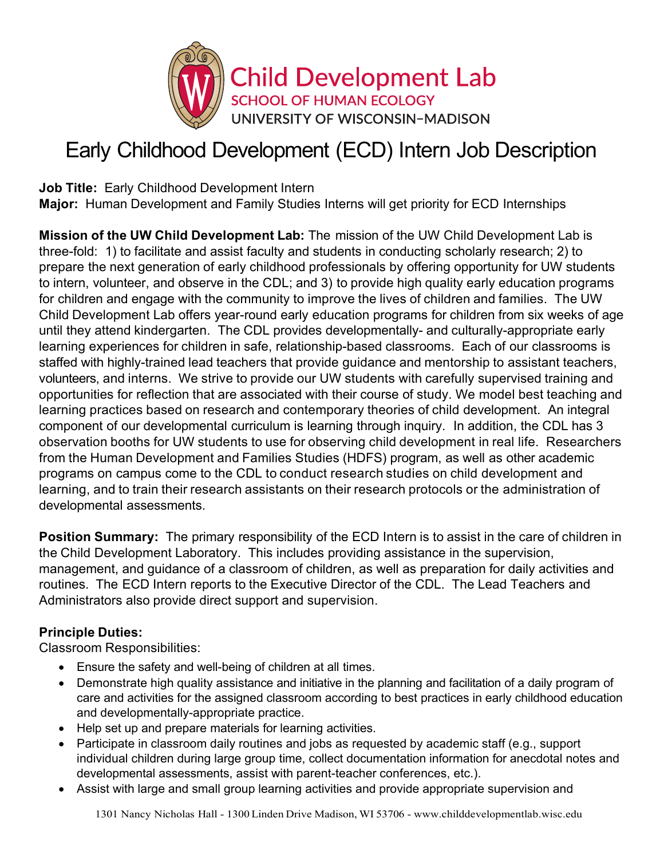

# Early Childhood Development (ECD) Intern Job Description

**Job Title:** Early Childhood Development Intern **Major:** Human Development and Family Studies Interns will get priority for ECD Internships

**Mission of the UW Child Development Lab:** The mission of the UW Child Development Lab is three-fold: 1) to facilitate and assist faculty and students in conducting scholarly research; 2) to prepare the next generation of early childhood professionals by offering opportunity for UW students to intern, volunteer, and observe in the CDL; and 3) to provide high quality early education programs for children and engage with the community to improve the lives of children and families. The UW Child Development Lab offers year-round early education programs for children from six weeks of age until they attend kindergarten. The CDL provides developmentally- and culturally-appropriate early learning experiences for children in safe, relationship-based classrooms. Each of our classrooms is staffed with highly-trained lead teachers that provide guidance and mentorship to assistant teachers, volunteers, and interns. We strive to provide our UW students with carefully supervised training and opportunities for reflection that are associated with their course of study. We model best teaching and learning practices based on research and contemporary theories of child development. An integral component of our developmental curriculum is learning through inquiry. In addition, the CDL has 3 observation booths for UW students to use for observing child development in real life. Researchers from the Human Development and Families Studies (HDFS) program, as well as other academic programs on campus come to the CDL to conduct research studies on child development and learning, and to train their research assistants on their research protocols or the administration of developmental assessments.

**Position Summary:** The primary responsibility of the ECD Intern is to assist in the care of children in the Child Development Laboratory. This includes providing assistance in the supervision, management, and guidance of a classroom of children, as well as preparation for daily activities and routines. The ECD Intern reports to the Executive Director of the CDL. The Lead Teachers and Administrators also provide direct support and supervision.

### **Principle Duties:**

Classroom Responsibilities:

- Ensure the safety and well-being of children at all times.
- Demonstrate high quality assistance and initiative in the planning and facilitation of a daily program of care and activities for the assigned classroom according to best practices in early childhood education and developmentally-appropriate practice.
- Help set up and prepare materials for learning activities.
- Participate in classroom daily routines and jobs as requested by academic staff (e.g., support individual children during large group time, collect documentation information for anecdotal notes and developmental assessments, assist with parent-teacher conferences, etc.).
- Assist with large and small group learning activities and provide appropriate supervision and